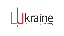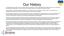## Our History

- Our association was founded in 2013, during the Revolution of Dignity, in order to bring together the Ukrainian community in Luxembourg and facilitate the organisation of various social and humanitarian actions for the benefit of the people of Ukraine
- LUkraine ASBL is a completely apolitical organisation. Our members work on an unpaid and voluntary basis. The vast majority are professionally employed but devote much of their free time to work with the organisation
- Our first project, UAmbulance, was one of the most difficult in terms of preparation and implementation, but it was a resounding success. With the mediation of the Honorary Consul of Ukraine in Luxembourg, we obtained a specialised ambulance and delivered it to the war-torn city of Slovyansk, along with various life-saving medical products and equipment.
- With time, we branched out and also explored cultural and educational projects in order to give Ukrainians in Luxembourg an opportunity to express their national identity to the rest of the international community, as well as promote Ukrainian culture: a Ukrainian Sunday school, traditional dance group, film screenings and participation in the Festival of Migration and International Bazaar.
- One particular project that has to be singled out was the event held on October 15, 2018. "Let's light a candle in memory" was dedicated to the Holodomor of 1932-33, and organised in Luxembourg by Ukraine asbl. The event was attended by the then-Foreign Minister of Ukraine, as well as ambassadors of Germany, the Netherlands, and other members of the Diplomatic Corps. This was, and still is, a crucial issue for us, as we are petitioning the Government of Luxembourg to recognise the events of 1932-33 as a genocide against our people.
- In 2019, we collaborated with the NGO WEGA, as well as the Ministry of Foreign Affairs of Luxembourg in order to realise a project for the benefit of individuals with special needs in Ukraine. The goal of the project was to restore a farm in Ukraine and thus create a facility where such individuals can learn trades kills and reintegrate into society. The project was completed in December of 2021, which brings us to current events